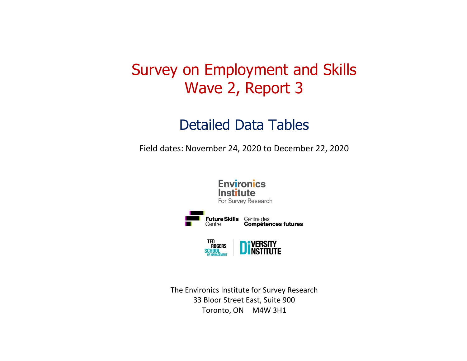# Survey on Employment and Skills Wave 2, Report 3

## Detailed Data Tables

Field dates: November 24, 2020 to December 22, 2020



The Environics Institute for Survey Research 33 Bloor Street East, Suite 900 Toronto, ON M4W 3H1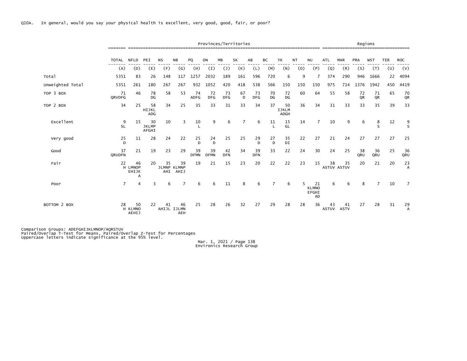|                  |                |                             |                             |           |                                 |                   |                   | Provinces/Territories |                |                  |                    |                            |           |                                   |                    | ------------------------------------ |                 | Regions   |            |                      |
|------------------|----------------|-----------------------------|-----------------------------|-----------|---------------------------------|-------------------|-------------------|-----------------------|----------------|------------------|--------------------|----------------------------|-----------|-----------------------------------|--------------------|--------------------------------------|-----------------|-----------|------------|----------------------|
|                  | TOTAL          | <b>NFLD</b>                 | PEI                         | <b>NS</b> | <b>NB</b>                       | PQ                | ON                | <b>MB</b>             | SK             | AB               | BC                 | YK                         | <b>NT</b> | <b>NU</b>                         | <b>ATL</b>         |                                      | <b>PRA</b>      | WST       | <b>TER</b> | <b>ROC</b>           |
|                  | (A)            | (D)                         | (E)                         | (F)       | (G)                             | (H)               | (I)               | $(\mathsf{J})$        | (K)            | (L)              | (M)                | (N)                        | (0)       | (P)                               | (Q)                | (R)                                  | (S)             | (T)       | (U)        | (V)                  |
| Total            | 5351           | 83                          | 26                          | 148       | 117                             | 1257              | 2032              | 189                   | 161            | 596              | 720                | 6                          | 9         |                                   | 374                | 290                                  | 946             | 1666      | 22         | 4094                 |
| Unweighted Total | 5351           | 261                         | 180                         | 267       | 267                             | 932               | 1052              | 420                   | 418            | 538              | 566                | 150                        | 150       | 150                               | 975                | 714                                  | 1376            | 1942      | 450        | 4419                 |
| TOP 3 BOX        | 71<br>QRVDFG   | 46                          | 78<br>DG                    | 58        | 53                              | 74<br><b>ADFG</b> | 72<br><b>DFG</b>  | 73<br><b>DFG</b>      | 67<br>D        | 73<br><b>DFG</b> | 70<br>DG           | 72<br>DG                   | 60        | 64                                | 55                 | 58                                   | 72<br><b>OR</b> | 71<br>QR  | 65         | 70<br>QR             |
| TOP 2 BOX        | 34             | 25                          | 58<br>HIJKL<br>ADG          | 34        | 25                              | 35                | 33                | 31                    | 33             | 34               | 37                 | 50<br><b>IJKLM</b><br>ADGH | 36        | 34                                | 31                 | 33                                   | 33              | 35        | 39         | 33                   |
| Excellent        | 9<br><b>SL</b> | 15                          | 30<br><b>JKLMP</b><br>AFGHI | 10        | 3                               | 10                | 9                 | 6                     | $\overline{7}$ | 6                | 11<br>$\mathbf{I}$ | 15<br>GL                   | 14        | $\overline{7}$                    | 10                 | 9                                    | 6               | 8<br>S    | 12         | $\frac{9}{5}$        |
| Very good        | 25<br>D        | 11                          | 28                          | 24        | 22                              | 25<br>D           | 24<br>D           | 25                    | 25             | 29<br>D.         | 27<br>$\mathsf{D}$ | 35<br>DI                   | 22        | 27                                | 21                 | 24                                   | 27              | 27        | 27         | 25                   |
| Good             | 37<br>QRUDFN   | 21                          | 19                          | 23        | 29                              | 39<br><b>DFMN</b> | 39<br><b>DFMN</b> | 42<br><b>DFN</b>      | 34             | 39<br><b>DFN</b> | 33                 | 22                         | 24        | 30                                | 24                 | 25                                   | 38<br>QRU       | 36<br>QRU | 25         | 36<br>QRU            |
| Fair             | 22             | 46<br>H LMNOP<br>EHIJK<br>А | 20                          | 35        | 39<br>JLMNP KLMNP<br>AHI AHIJ   | 19                | 21                | 15                    | 23             | 20               | 22                 | 22                         | 23        | 15                                | 38                 | 35<br>ASTUV ASTUV                    | 20              | 21        | 20         | 23<br>A              |
| Poor             | $\overline{7}$ | $\overline{4}$              | 3                           | 6         | 7                               | 6                 | 6                 | 11                    | 8              | 6                | $\overline{7}$     | 6                          |           | 21<br><b>KLMNO</b><br>EFGHI<br>AD | 6                  | 6                                    | 8               | 7         | 10         | $\overline{7}$       |
| BOTTOM 2 BOX     | 28             | 50<br>H KLMNO<br>AEHIJ      | 22                          | 41        | 46<br>AHIJL IJLMN<br><b>AEH</b> | 25                | 28                | 26                    | 32             | 27               | 29                 | 28                         | 28        | 36                                | 43<br><b>ASTUV</b> | 41<br><b>ASTV</b>                    | 27              | 28        | 31         | 29<br>$\overline{A}$ |

Comparison Groups: ADEFGHIJKLMNOP/AQRSTUV<br>Paired/Overlap T-Test for Means, Paired/Overlap Z-Test for Percentages<br>Uppercase letters indicate significance at the 95% level.

Mar. 1, 2021 / Page 138 Environics Research Group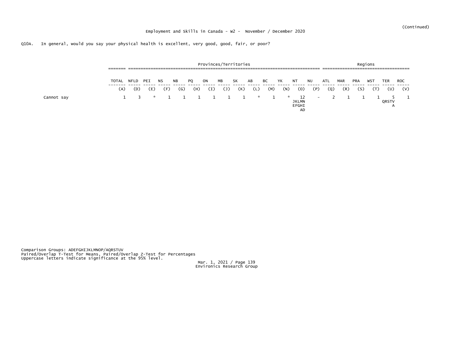|            | _______<br>------- |      |     | ________________________ |     |     | Provinces/Territories |      |     |          |     |     |                                          |                          |     |            |            | Regions<br>_______________________ |       |            |
|------------|--------------------|------|-----|--------------------------|-----|-----|-----------------------|------|-----|----------|-----|-----|------------------------------------------|--------------------------|-----|------------|------------|------------------------------------|-------|------------|
|            | TOTAL              | NFLD | PEI | NS.                      | NB. | PQ  | ON                    | ΜВ   | SK  | AB       | BС  | YK  | NT                                       | NU                       | ATL | <b>MAR</b> | <b>PRA</b> | WS7                                | TER   | <b>ROC</b> |
|            | (A)                | (D)  | (E) | (F)                      | (G) | (H) | (I)                   | 〔J 〕 | (K) | (L)      | (M) | (N) | (0)                                      | (P)                      | (Q) | (R)        | (S)        |                                    | (U)   | (V)        |
| Cannot say |                    | - 2  |     |                          |     |     | * 1 1 1 1 1 1         |      |     | <b>x</b> |     | * . | 12<br><b>JKLMN</b><br>EFGHI<br><b>AD</b> | $\overline{\phantom{0}}$ |     |            |            |                                    | QRSTV |            |

Comparison Groups: ADEFGHIJKLMNOP/AQRSTUV<br>Paired/Overlap T-Test for Means, Paired/Overlap Z-Test for Percentages<br>Uppercase letters indicate significance at the 95% level.

Mar. 1, 2021 / Page 139 Environics Research Group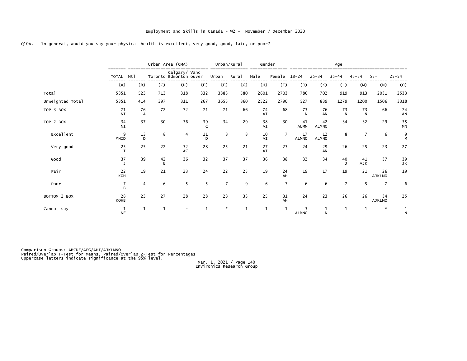|                  |                                |              |                   | Urban Area (CMA)                        |              |                | Urban/Rural  | Gender               |                |                    |                    | Age                |                    |                |               |
|------------------|--------------------------------|--------------|-------------------|-----------------------------------------|--------------|----------------|--------------|----------------------|----------------|--------------------|--------------------|--------------------|--------------------|----------------|---------------|
|                  | =======<br><b>TOTAL</b>        | Mt1          |                   | Calgary/ Vanc<br>Toronto Edmonton ouver |              | Urban          | Rural        | Male                 | Female         | $18 - 24$          | $25 - 34$          | $35 - 44$          | $45 - 54$          | $55+$          | $25 - 54$     |
|                  | (A)                            | (B)          | (C)               | (D)                                     | (E)          | (F)            | (G)          | (H)                  | (I)            | $(\mathsf{J})$     | (K)                | (L)                | (M)                | (N)            | (0)           |
| Total            | 5351                           | 523          | 713               | 318                                     | 332          | 3883           | 580          | 2601                 | 2703           | 786                | 702                | 919                | 913                | 2031           | 2533          |
| Unweighted Total | 5351                           | 414          | 397               | 311                                     | 267          | 3655           | 860          | 2522                 | 2790           | 527                | 839                | 1279               | 1200               | 1506           | 3318          |
| TOP 3 BOX        | 71<br>NI                       | 76<br>A      | 72                | 72                                      | 71           | 71             | 66           | 74<br>AI             | 68             | $\frac{73}{N}$     | 76<br>AN           | $\frac{73}{N}$     | 73<br>$\mathsf{N}$ | 66             | 74<br>AN      |
| TOP 2 BOX        | 34<br>NI                       | 37           | 30                | 36                                      | $rac{39}{C}$ | 34             | 29           | 38<br>A <sub>T</sub> | 30             | 41<br><b>ALMN</b>  | 42<br><b>ALMNO</b> | 34                 | 32                 | 29             | 35<br>MN      |
| Excellent        | 9<br>MNID                      | 13<br>D      | 8                 | $\overline{4}$                          | 11<br>D.     | 8              | 8            | 10<br>A <sub>T</sub> | $\overline{7}$ | 17<br><b>ALMNO</b> | 12<br><b>ALMNO</b> | 8                  | $\overline{7}$     | 6              | $\frac{9}{M}$ |
| Very good        | $2\frac{5}{1}$                 | 25           | 22                | 32<br>AC                                | 28           | 25             | 21           | 27<br>AI             | 23             | 24                 | 29<br>AN           | 26                 | 25                 | 23             | 27            |
| Good             | $\frac{37}{1}$                 | 39           | $42$ <sub>E</sub> | 36                                      | 32           | 37             | 37           | 36                   | 38             | 32                 | 34                 | 40<br>$\mathbf{J}$ | 41<br>AJK          | 37             | 39<br>JK      |
| Fair             | 22<br>KOH                      | 19           | 21                | 23                                      | 24           | 22             | 25           | 19                   | 24<br>AH       | 19                 | 17                 | 19                 | 21                 | 26<br>AJKLMO   | 19            |
| Poor             | $\overline{7}$<br>$\mathsf{R}$ | 4            | 6                 | 5                                       | 5            | $\overline{7}$ | 9            | 6                    | $\overline{7}$ | 6                  | 6                  | $\overline{7}$     | 5                  | $\overline{7}$ | 6             |
| BOTTOM 2 BOX     | 28<br>KOHB                     | 23           | 27                | 28                                      | 28           | 28             | 33           | 25                   | 31<br>AH       | 24                 | 23                 | 26                 | 26                 | 34<br>AJKLMO   | 25            |
| Cannot say       | $\mathbf{1}$<br><b>NF</b>      | $\mathbf{1}$ | $\mathbf{1}$      |                                         | $\mathbf{1}$ | $\mathbf{x}$   | $\mathbf{1}$ | 1                    | 1              | 3<br><b>ALMNO</b>  | 1<br>N             | $\mathbf{1}$       | 1                  | $\mathcal{R}$  | $\frac{1}{N}$ |

Comparison Groups: ABCDE/AFG/AHI/AJKLMNO<br>Paired/Overlap T-Test for Means, Paired/Overlap Z-Test for Percentages<br>Uppercase letters indicate significance at the 95% level.

Mar. 1, 2021 / Page 140 Environics Research Group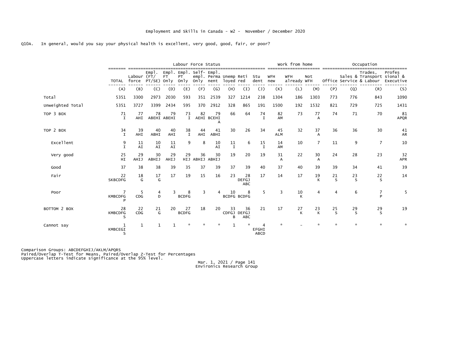|                  |                           |                                    |             |                      | Labour Force Status                                |           |                        |                        |                                  |                   |                  | Work from home            |                      |                    |         | Occupation                                                       |                     |
|------------------|---------------------------|------------------------------------|-------------|----------------------|----------------------------------------------------|-----------|------------------------|------------------------|----------------------------------|-------------------|------------------|---------------------------|----------------------|--------------------|---------|------------------------------------------------------------------|---------------------|
|                  | TOTAL                     | Labour $(FT)$<br>force PT/SE) Only | Empl.       | FT <sup>1</sup>      | Empl. Empl. Self- Empl.<br>PT <sup>1</sup><br>Onlv | Only nent | empl. Perma Unemp Reti | loyed red              |                                  | Stu<br>dent new   | <b>WFH</b>       | <b>WFH</b><br>already WFH | Not                  |                    |         | Trades,<br>Sales & Transport sional &<br>Office Service & Labour | Profes<br>Executive |
|                  | (A)                       | (B)                                | (C)         | (D)                  | (E)                                                | (F)       | $\mathsf{(G)}$         | (H)                    | $\left(1\right)$                 | $(\mathsf{J})$    | (K)              | (L)                       | (M)                  | (P)                | (Q)     | (R)                                                              | (S)                 |
| Total            | 5351                      | 3300                               | 2973        | 2030                 | 593                                                | 351       | 2539                   | 327                    | 1214                             | 238               | 1304             | 186                       | 1303                 | 773                | 776     | 843                                                              | 1090                |
| Unweighted Total | 5351                      | 3727                               | 3399        | 2434                 | 595                                                | 370       | 2912                   | 328                    | 865                              | 191               | 1500             | 192                       | 1532                 | 821                | 729     | 725                                                              | 1431                |
| TOP 3 BOX        | 71<br>Ι.                  | 77<br>AHI                          | 78          | 79<br>ABEHI ABEHI    | 73<br>$\mathbf{I}$                                 | 82        | 79<br>AEHI BCEHI<br>A  | 66                     | 64                               | 74<br>$\mathbf I$ | 82<br>AM         | 73                        | 77<br>$\Delta$       | 74                 | 71      | 70                                                               | 81<br>APQR          |
| TOP 2 BOX        | 34<br>$\mathbf{I}$        | 39<br>AHI                          | 40<br>ABHI  | 40<br>AHI            | 38<br>$\mathbf{I}$                                 | 44<br>AHI | 41<br>ABHI             | 30                     | 26                               | 34                | 45<br><b>ALM</b> | 32                        | 37<br>$\Delta$       | 36                 | 36      | 30                                                               | 41<br>AR            |
| Excellent        | 9<br>T                    | 11<br>A <sub>T</sub>               | 10<br>AI    | 11<br>A <sub>I</sub> | 9                                                  | 8         | 10<br>A <sub>T</sub>   | 11<br>$\mathbf I$      | 6                                | 15<br>T           | 14<br>AM         | 10                        | $\overline{7}$       | 11                 | 9       | $\overline{7}$                                                   | 10                  |
| Very good        | 25<br>HI                  | 29<br>AHIJ                         | 30<br>ABHIJ | 29<br>AHIJ           | 29<br>HIJ                                          | 36        | 30<br>ABHIJ ABHIJ      | 19                     | 20                               | 19                | 31<br>A          | 22                        | 30<br>$\overline{A}$ | 24                 | 28      | 23                                                               | 32<br><b>APR</b>    |
| Good             | 37                        | 38                                 | 38          | 39                   | 35                                                 | 37        | 39                     | 37                     | 39                               | 40                | 37               | 40                        | 39                   | 39                 | 34      | 41                                                               | 39                  |
| Fair             | 22<br><b>SKBCDFG</b>      | 18<br>G                            | 17<br>G     | 17                   | 19                                                 | 15        | 16                     | 23                     | 28<br><b>DEFGJ</b><br><b>ABC</b> | 17                | 14               | 17                        | 19<br>К              | 21<br><sub>S</sub> | 23<br>S | 22<br>S                                                          | 14                  |
| Poor             | <b>KMBCDFG</b>            | 5<br>CDG                           | 4<br>D      |                      | 8<br><b>BCDFG</b>                                  | 3         |                        | 10                     | 8<br><b>BCDFG BCDFG</b>          | 5                 | 3                | 10<br>К                   | 4                    | 4                  | 6       | 7<br>P                                                           | 5                   |
| BOTTOM 2 BOX     | 28<br><b>KMBCDFG</b><br>ς | 22<br>CDG                          | 21<br>G     | 20                   | 27<br><b>BCDFG</b>                                 | 18        | 20                     | 33<br>CDFGJ DEFGJ<br>в | 36<br>ABC                        | 21                | 17               | 27                        | $23 \times$          | 25<br><sub>S</sub> | 29<br>S | 29<br>S                                                          | 19                  |
| Cannot say       | KMBCEGI<br>S              | 1                                  | $\mathbf 1$ |                      |                                                    |           |                        |                        |                                  | EFGHI<br>ABCD     |                  |                           |                      | $\star$            | $\star$ | $\star$                                                          |                     |

Comparison Groups: ABCDEFGHIJ/AKLM/APQRS<br>Paired/Overlap T-Test for Means, Paired/Overlap Z-Test for Percentages<br>Uppercase letters indicate significance at the 95% level.

Mar. 1, 2021 / Page 141 Environics Research Group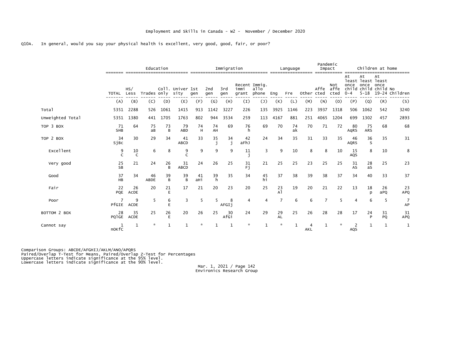|                  |                   |                    | Education   |         |                          |           |                | Immigration |                                |                |                     | Language |            | Pandemic<br>Impact |                     |                       | Children at home                                                    |            |                      |
|------------------|-------------------|--------------------|-------------|---------|--------------------------|-----------|----------------|-------------|--------------------------------|----------------|---------------------|----------|------------|--------------------|---------------------|-----------------------|---------------------------------------------------------------------|------------|----------------------|
|                  | TOTAL Less        | HS/                | Trades only |         | Coll. Univer 1st<br>sity | gen       | 2nd<br>gen     | 3rd<br>gen  | Recent Immig.<br>immi<br>grant | allo<br>phone  | Eng                 | Fre      | Other cted | Affe               | Not<br>affe<br>cted | At<br>once<br>$0 - 4$ | At<br>least least least<br>once<br>child child child No<br>$5 - 18$ | At<br>once | 19-24 Children       |
|                  | (A)               | (B)                | (C)         | (D)     | (E)                      | (F)       | (G)            | (H)         | (I)                            | $(\mathsf{J})$ | (K)                 | (L)      | (M)        | (N)                | (0)                 | (P)                   | (Q)                                                                 | (R)        | (S)                  |
| Total            | 5351              | 2288               | 526         | 1061    | 1415                     | 913       | 1142           | 3227        | 226                            | 135            | 3925                | 1146     | 223        | 3937               | 1318                | 506                   | 1062                                                                | 542        | 3240                 |
| Unweighted Total | 5351              | 1380               | 441         | 1705    | 1763                     | 802       | 944            | 3534        | 259                            | 113            | 4167                | 881      | 251        | 4065               | 1204                | 699                   | 1302                                                                | 457        | 2893                 |
| TOP 3 BOX        | 71<br><b>SHB</b>  | 64                 | 75<br>aB    | 73<br>B | 79<br><b>ABD</b>         | 74<br>H   | 74<br>AH       | 69          | 76<br>h                        | 69             | 70                  | 74<br>ak | 70         | 71                 | 72                  | 80<br>AqRS            | 75<br>ARS                                                           | 68         | 68                   |
| TOP 2 BOX        | 34<br>SjBc        | 30                 | 29          | 34      | 41<br>ABCD               | 33        | $\frac{35}{1}$ | 34          | 42<br>aFhJ                     | 24             | 34                  | 35       | 31         | 33                 | 35                  | 46<br><b>AQRS</b>     | 36<br><sub>S</sub>                                                  | 35         | 31                   |
| Excellent        | 9<br>$\mathsf{C}$ | 10<br>$\mathsf{C}$ | 6           | 8       | 9                        | 9         | ٩              | 9           | 11                             | 3              | q                   | 10       | 8          | 8                  | 10                  | 15<br>AQS             | 8                                                                   | 10         | 8                    |
| Very good        | 25<br><b>SB</b>   | 21                 | 24          | 26<br>B | 31<br>ABCD               | 24        | 26             | 25          | 31<br>Fj                       | 21             | 25                  | 25       | 23         | 25                 | 25                  | 31<br>AS              | 28<br>as                                                            | 25         | 23                   |
| Good             | 37<br>HB          | 34                 | 46<br>ABDE  | 39<br>B | 39<br>B                  | 41<br>ані | 39<br>h        | 35          | 34                             | $\frac{45}{h}$ | 37                  | 38       | 39         | 38                 | 37                  | 34                    | 40                                                                  | 33         | 37                   |
| Fair             | 22<br>PQE         | 26<br>ACDE         | 20          | 21<br>E | 17                       | 21        | 20             | 23          | 20                             | 25             | $^{23}_{\text{Al}}$ | 19       | 20         | 21                 | 22                  | 13                    | 18<br>D                                                             | 26<br>aPQ  | 23<br>APQ            |
| Poor             | PfGIE             | 9<br>ACDE          | 5           | 6<br>E  | 3                        | 5         | 5              | 8<br>AFGI1  | 4                              |                | $\overline{7}$      | 6        | 6          | $\overline{7}$     | 5                   | 4                     | 6                                                                   | -5         | $\overline{7}$<br>AP |
| BOTTOM 2 BOX     | 28<br>PQIGE       | 35<br>ACDE         | 25          | 26<br>E | 20                       | 26        | 25             | 30<br>AfGi  | 24                             | 29             | 29<br><b>AL</b>     | 25       | 26         | 28                 | 28                  | 17                    | 24                                                                  | 31<br>PQ   | 31<br>APQ            |
| Cannot say       | nokfc             | 1                  |             |         |                          |           |                |             |                                |                | 大                   |          | AKL        |                    |                     | AQS                   | 1                                                                   |            | 1                    |

Comparison Groups: ABCDE/AFGHIJ/AKLM/ANO/APQRS<br>Paired/Overlap T-Test for Means, Paired/Overlap Z-Test for Percentages<br>Uppercase letters indicate significance at the 95% level.<br>Lowercase letters indicate significance at the

Mar. 1, 2021 / Page 142<br>Environics Research Group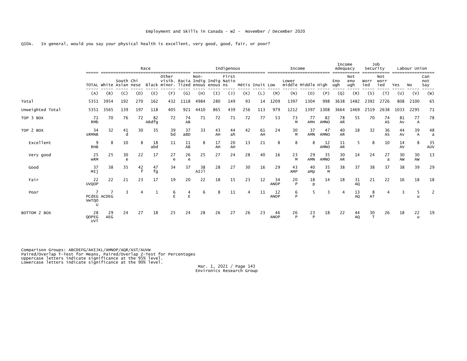|                  |                           |             | ---------------                     |     | Race        |                                                                              |           |            |          | Indigenous     |     |                 |                   | Income                      | ___________ |                   | Income<br>Adequacy |                   | Job<br>Security    |                    |          | Labour Union |                   |
|------------------|---------------------------|-------------|-------------------------------------|-----|-------------|------------------------------------------------------------------------------|-----------|------------|----------|----------------|-----|-----------------|-------------------|-----------------------------|-------------|-------------------|--------------------|-------------------|--------------------|--------------------|----------|--------------|-------------------|
|                  |                           |             | South Chi<br>TOTAL White Asian nese |     |             | Other<br>visib. Racia Indig Indig Natio<br>Black minor. lized enous enous ns |           | $Non-$     |          | First          |     | Métis Inuit Low |                   | Lower<br>middle Middle High |             |                   | Eno<br>ugh         | Not<br>eno<br>ugh | Worr<br>ied        | Not<br>worr<br>ied | Yes      | <b>NO</b>    | Can<br>not<br>Say |
|                  | (A)                       | (B)         | (C)                                 | (D) | (E)         | (F)                                                                          | (G)       | (H)        | (I)      | $(\mathsf{J})$ | (K) | (L)             | (M)               | (N)                         | (0)         | (P)               | (Q)                | (R)               | (S)                | (T)                | (U)      | (V)          | (W)               |
| Total            | 5351                      | 3954        | 192                                 | 270 | 162         | 432                                                                          | 1118      | 4984       | 280      | 149            | 93  | 14              | 1209              | 1397                        | 1304        | 998               | 3638               | 1482              | 2392               | 2726               | 808      | 2100         | 65                |
| Unweighted Total | 5351                      | 3565        | 139                                 | 197 | 118         | 405                                                                          | 921       | 4410       | 865      | 439            | 256 | 113             | 979               | 1212                        | 1397        | 1308              | 3664               | 1469              | 2519               | 2638               | 1033     | 2295         | 71                |
| TOP 3 BOX        | 71<br>RMb                 | 70          | 76                                  | 72  | 82<br>ABdfg | 72                                                                           | 74<br>AB  | 71         | 72       | 71             | 72  | 77              | 53                | 73<br>M                     | 77<br>AMn   | 82<br><b>AMNO</b> | 78<br><b>AR</b>    | 55                | 70                 | 74<br>AS           | 81<br>Av | 77<br>А      | 78                |
| TOP 2 BOX        | 34<br><b>SRMNB</b>        | 32          | 41                                  | 30  | 35          | 39<br>bd                                                                     | 37<br>aBD | 33         | 43<br>AH | 44<br>ah       | 42  | 61<br>AH        | 24                | 30<br>м                     | 37<br>AMN   | 47<br>AMNO        | 40<br>AR           | 18                | 32                 | 36<br>AS           | 44<br>AV | 39<br>A      | 48<br>a           |
| Excellent        | 9<br><b>RHB</b>           | 8           | 10                                  | 8   | 18<br>abd   | 11                                                                           | 11<br>AB  | 8          | 17<br>AH | 20<br>AH       | 13  | 21              | 8                 | 8                           | 8           | 12<br><b>AMNO</b> | 11<br>AR           | 5                 | 8                  | 10                 | 14<br>AV | 8            | 35<br>AUV         |
| Very good        | 25<br><b>WRM</b>          | 25          | 30<br>$\epsilon$                    | 22  | 17          | 27<br>e                                                                      | 26<br>e   | 25         | 27       | 24             | 28  | 40              | 16                | 23<br>M                     | 29<br>AMN   | 35<br><b>AMNO</b> | 30<br><b>AR</b>    | 14                | 24                 | 27                 | 30<br>AW | 30<br>AW     | 13                |
| Good             | 37<br>MIj                 | 38          | 35                                  | 42  | 47<br>fg    | 34                                                                           | 37        | 38<br>AIJ] | 28       | 27             | 30  | 16              | 29                | 43<br>AMP                   | 40<br>aMp   | 35<br>M           | 38                 | 37                | 38                 | 37                 | 38       | 39           | 29                |
| Fair             | 22<br><b>UVQOP</b>        | 22          | 21                                  | 23  | 17          | 19                                                                           | 20        | 22         | 18       | 15             | 23  | 12              | 34<br><b>ANOP</b> | 20<br>P                     | 18<br>p     | 14                | 18                 | 31<br><b>AQ</b>   | 21                 | 22                 | 16       | 18           | 18                |
| Poor             | <b>VwTQO</b><br>-U        | PCdEG ACDEG | २                                   |     | 1           | 6<br>E                                                                       | 4         | 6          | 8        | 11             | 4   | 11              | 12<br><b>ANOP</b> | 6<br>D                      | 5           | 3                 |                    | 13<br>AQ          | 8<br>AT            |                    | 3        |              |                   |
| BOTTOM 2 BOX     | 28<br>QOPEG<br><b>UVT</b> | 29<br>AEG   | 24                                  | 27  | 18          | 25                                                                           | 24        | 28         | 26       | 27             | 26  | 23              | 46<br><b>ANOP</b> | 26<br>P                     | 23<br>P     | 18                | 22                 | 44<br><b>AQ</b>   | 30<br>$\mathsf{T}$ | 26                 | 18       | 22<br>u      | 19                |

Comparison Groups: ABCDEFG/AHIJKL/AMNOP/AQR/AST/AUVW<br>Paired/Overlap T-Test for Means, Paired/Overlap Z-Test for Percentages<br>Uppercase letters indicate significance at the 95% level.<br>Lowercase letters indicate significance

Mar. 1, 2021 / Page 143<br>Environics Research Group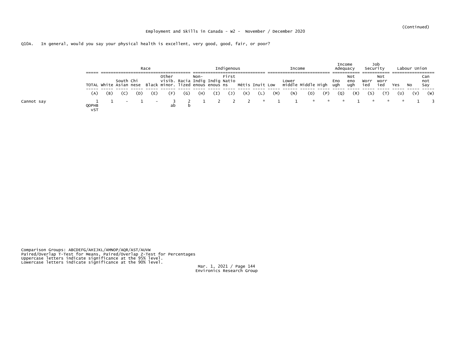|            |              |     |  | Race                     |       |              |        | Indigenous |     |     | Income            |     |     | Income<br>Adequacy |                   | Job<br>Security |                    |     | Labour Union |                   |
|------------|--------------|-----|--|--------------------------|-------|--------------|--------|------------|-----|-----|-------------------|-----|-----|--------------------|-------------------|-----------------|--------------------|-----|--------------|-------------------|
|            |              |     |  |                          | Other |              | $Non-$ | First      |     |     |                   |     |     | Eno<br>ugh         | Not<br>eno<br>ugh | Worr<br>ied     | Not<br>worr<br>ied | Yes | NO.          | Can<br>not<br>Say |
|            | (A)          | (B) |  | E)                       | E.    | (G)          | (H)    | (1)        | (K) | (M) | (N)               | (0) | (P) | $\left( 0 \right)$ | (R)               | (S)             |                    | (U) | (V)          | (W)               |
| Cannot say | QOPHB<br>VST |     |  | $\overline{\phantom{a}}$ | ab    | $\mathbf{b}$ |        |            |     |     | 2 2 2 * 1 1 * * * |     |     |                    |                   | $\mathcal{R}$   |                    |     |              |                   |

Comparison Groups: ABCDEFG/AHIJKL/AMNOP/AQR/AST/AUVW<br>Paired/Overlap T-Test for Means, Paired/Overlap Z-Test for Percentages<br>Uppercase letters indicate significance at the 95% level.<br>Lowercase letters indicate significance

Mar. 1, 2021 / Page 144<br>Environics Research Group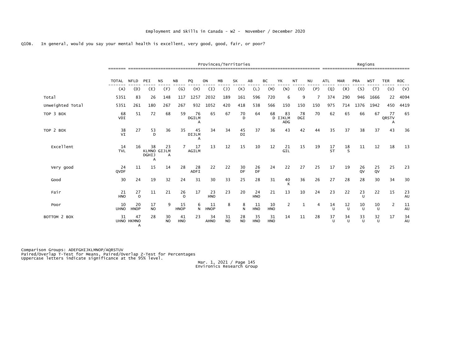|                  |                   |                       |                         |                               |                   |                         |                    | Provinces/Territories |                 |                  |                  |                      |           |           |                    |              |                      | Regions      |                  |            |
|------------------|-------------------|-----------------------|-------------------------|-------------------------------|-------------------|-------------------------|--------------------|-----------------------|-----------------|------------------|------------------|----------------------|-----------|-----------|--------------------|--------------|----------------------|--------------|------------------|------------|
|                  | <b>TOTAL</b>      | <b>NFLD</b>           | PEI                     | <b>NS</b>                     | <b>NB</b>         | PQ                      | ON                 | MB                    | <b>SK</b>       | AB               | ВC               | YK                   | NT        | <b>NU</b> | <b>ATL</b>         | <b>MAR</b>   | <b>PRA</b>           | <b>WST</b>   | <b>TER</b>       | <b>ROC</b> |
|                  | (A)               | (D)                   | (E)                     | (F)                           | (G)               | (H)                     | (I)                | $(\mathsf{J})$        | (K)             | (L)              | (M)              | (N)                  | (0)       | (P)       | (Q)                | (R)          | (S)                  | (T)          | (U)              | (V)        |
| Total            | 5351              | 83                    | 26                      | 148                           | 117               | 1257                    | 2032               | 189                   | 161             | 596              | 720              | 6                    | q         |           | 374                | 290          | 946                  | 1666         | 22               | 4094       |
| Unweighted Total | 5351              | 261                   | 180                     | 267                           | 267               | 932                     | 1052               | 420                   | 418             | 538              | 566              | 150                  | 150       | 150       | 975                | 714          | 1376                 | 1942         | 450              | 4419       |
| TOP 3 BOX        | 68<br>VDI         | 51                    | 72                      | 68                            | 59                | 76<br><b>DGILM</b><br>A | 65                 | 67                    | 70<br>D         | 64               | 68               | 83<br>D IJKLM<br>ADG | 78<br>DGI | 70        | 62                 | 65           | 66                   | 67           | 77<br>QRSTV<br>А | 65         |
| TOP 2 BOX        | 38<br>VI          | 27                    | 53<br>D                 | 36                            | 35                | 45<br>DIJLM<br>А        | 34                 | 34                    | 45<br>DI        | 37               | 36               | 43                   | 42        | 44        | 35                 | 37           | 38                   | 37           | 43               | 36         |
| Excellent        | 14<br><b>TVL</b>  | 16                    | 38<br><b>DGHIJ</b><br>А | 23<br><b>KLMNO GIJLM</b><br>A |                   | 17<br><b>AGILM</b>      | 13                 | 12                    | 15              | 10               | 12               | 21<br>GIL            | 15        | 19        | 17<br><b>ST</b>    | 18<br>-S     | 11                   | 12           | 18               | 13         |
| Very good        | 24<br>QVDF        | 11                    | 15                      | 14                            | 28                | 28<br>ADFI              | 22                 | 22                    | 30<br><b>DF</b> | 26<br>DF         | 24               | 22                   | 27        | 25        | 17                 | 19           | 26<br>O <sub>V</sub> | 25<br>QV     | 25               | 23         |
| Good             | 30                | 24                    | 19                      | 32                            | 24                | 31                      | 30                 | 33                    | 25              | 28               | 31               | 40<br>K              | 36        | 26        | 27                 | 28           | 28                   | 30           | 34               | 30         |
| Fair             | 21<br><b>HNO</b>  | $_{\rm o}^{27}$       | 11                      | 21                            | 26<br>$\Omega$    | 17                      | 23<br><b>HNO</b>   | 23                    | 20              | 24<br><b>HNO</b> | 21               | 13                   | 10        | 24        | 23                 | 22           | 23<br>$\mathbf{U}$   | 22           | 15               | 23<br>AU   |
| Poor             | 10<br><b>UHNO</b> | 20<br><b>HNOP</b>     | 17<br>N <sub>O</sub>    | 9                             | 15<br><b>HNOP</b> | 6<br>N                  | -11<br><b>HNOP</b> | 8                     | 8<br>N          | 11<br><b>HNO</b> | 10<br><b>HNO</b> | 2                    |           | 4         | 14<br>$\cup$       | 12<br>$\cup$ | 10<br>$\mathbf{U}$   | 10<br>U      | 2                | 11<br>AU   |
| BOTTOM 2 BOX     | 31                | 47<br>UHNO HKMNO<br>A | 28                      | 30<br>N <sub>O</sub>          | 41<br><b>HNO</b>  | 23                      | 34<br><b>AHNO</b>  | 31<br><b>NO</b>       | 28<br><b>NO</b> | 35<br>HNO        | 31<br>HNO        | 14                   | 11        | 28        | 37<br>$\mathsf{U}$ | 34<br>$\cup$ | 33<br>$\mathsf{U}$   | 32<br>$\cup$ | 17               | 34<br>AU   |

Comparison Groups: ADEFGHIJKLMNOP/AQRSTUV<br>Paired/Overlap T-Test for Means, Paired/Overlap Z-Test for Percentages<br>Uppercase letters indicate significance at the 95% level.

Mar. 1, 2021 / Page 145 Environics Research Group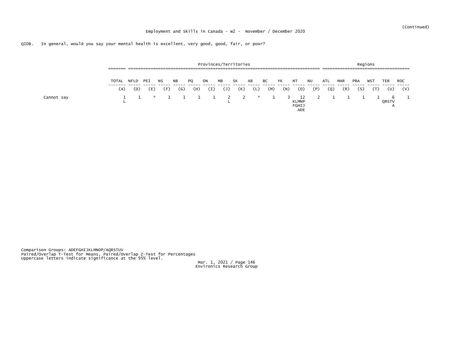|            | _______<br>------- |      |                 | ____________________ |           |     | Provinces/Territories |      |                |     |     |     |                                    |     |     |            |            | Regions<br>__________________________________ |             |            |
|------------|--------------------|------|-----------------|----------------------|-----------|-----|-----------------------|------|----------------|-----|-----|-----|------------------------------------|-----|-----|------------|------------|-----------------------------------------------|-------------|------------|
|            | TOTAL              | NFLD | PEI             | NS.                  | <b>NB</b> | PQ  | ON                    | ΜВ   | SK             | AB  | ВC  | YK  | NT                                 | NU  | ATL | <b>MAR</b> | <b>PRA</b> | WS7                                           | TER         | <b>ROC</b> |
|            | (A)                | (D)  | (E)             | (F)                  | (G)       | (H) | (I)                   | 〔J 〕 | (K)            | (L) | (M) | (N) | (0)                                | (P) | (Q) | (R)        | (S)        |                                               | (U)         | (V)        |
| Cannot say |                    |      | <b>Reserves</b> |                      |           |     | $1 \quad 1 \quad 1$   |      | $\overline{2}$ | 大   |     |     | 12<br><b>KLMNP</b><br>FGHIJ<br>ADE |     |     |            |            |                                               | -6<br>QRSTV |            |

Comparison Groups: ADEFGHIJKLMNOP/AQRSTUV<br>Paired/Overlap T-Test for Means, Paired/Overlap Z-Test for Percentages<br>Uppercase letters indicate significance at the 95% level.

Mar. 1, 2021 / Page 146 Environics Research Group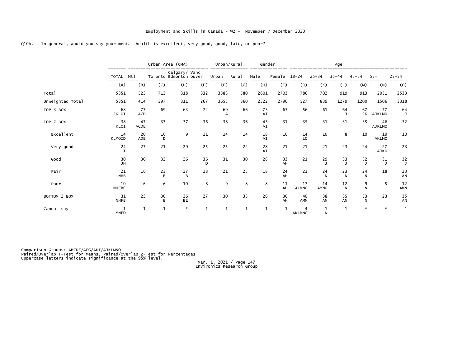|                  |                         |                   |              | Urban Area (CMA)                        |              |              | Urban/Rural  | Gender   |          |                                        |                           | Age                |                    |                     |                    |
|------------------|-------------------------|-------------------|--------------|-----------------------------------------|--------------|--------------|--------------|----------|----------|----------------------------------------|---------------------------|--------------------|--------------------|---------------------|--------------------|
|                  | =======<br><b>TOTAL</b> | Mt1               |              | Calgary/ Vanc<br>Toronto Edmonton ouver |              | Urban        | Rural        | Male     | Female   | $18 - 24$                              | $25 - 34$                 | $35 - 44$          | $45 - 54$          | $55+$               | $25 - 54$          |
|                  | (A)                     | (B)               | (C)          | (D)                                     | (E)          | (F)          | (G)          | (H)      | (I)      | $(\mathsf{J})$                         | (K)                       | (L)                | (M)                | (N)                 | (0)                |
| Total            | 5351                    | 523               | 713          | 318                                     | 332          | 3883         | 580          | 2601     | 2703     | 786                                    | 702                       | 919                | 913                | 2031                | 2533               |
| Unweighted Total | 5351                    | 414               | 397          | 311                                     | 267          | 3655         | 860          | 2522     | 2790     | 527                                    | 839                       | 1279               | 1200               | 1506                | 3318               |
| TOP 3 BOX        | 68<br><b>JKLOI</b>      | 77<br>ACD         | 69           | 63                                      | 72           | 69           | 66           | 73<br>AI | 63       | 56                                     | 61                        | 64<br>$\mathbf{J}$ |                    | 67 77<br>JK AJKLMO  | 64<br>$\mathbf{J}$ |
| TOP 2 BOX        | 38<br>KLOI              | 47<br><b>ACDE</b> | 37           | 37                                      | 36           | 38           | 36           | 45<br>AI | 31       | 35                                     | 31                        | 31                 | 35                 | 46<br><b>AJKLMO</b> | 32                 |
| Excellent        | 14<br>KLMOID            | 20<br><b>ADE</b>  | 16<br>D      | 9                                       | 11           | 14           | 14           | 18<br>AI | 10       | 14<br>LO                               | 10                        | 8                  | 10                 | 19<br><b>AKLMO</b>  | 10                 |
| Very good        | $24$<br>I               | 27                | 21           | 29                                      | 25           | 25           | 22           | 28<br>AI | 21       | 21                                     | 21                        | 23                 | 24                 | 27<br>AJKO          | 23                 |
| Good             | 30<br>JH                | 30                | 32           | 26                                      | 36<br>D      | 31           | 30           | 28       | 33<br>AH | 21                                     | 29                        | 33                 | $\frac{32}{1}$     | $\frac{31}{J}$      | $\frac{32}{J}$     |
| Fair             | 21<br><b>NHB</b>        | 16                | 23<br>B      | $27 \over B$                            | 18           | 21           | 25           | 18       | 24<br>AH | 23                                     | 24<br>N                   | $\frac{23}{N}$     | 24<br>N            | 18                  | $\frac{23}{AN}$    |
| Poor             | 10<br><b>NHFBC</b>      | 6                 | 6            | 10                                      | 8            | 9            | 8            | 8        | 11<br>AH | 17<br><b>ALMNO</b>                     | 14<br>AMNO                | $\frac{12}{\sf N}$ | 9<br>N             | 5                   | 12<br>AMN          |
| BOTTOM 2 BOX     | 31<br><b>NHFB</b>       | 23                | 30<br>B      | 36<br><b>BE</b>                         | 27           | 30           | 33           | 26       | 36<br>AH | 40<br>AMN                              | 38<br>AN                  | 35<br>AN           | 33<br>$\mathsf{N}$ | 23                  | $\frac{35}{4N}$    |
| Cannot say       | 1<br><b>MNFD</b>        | $\mathbf{1}$      | $\mathbf{1}$ | $\mathbf{x}$                            | $\mathbf{1}$ | $\mathbf{1}$ | $\mathbf{1}$ | 1        |          | $\boldsymbol{\Delta}$<br><b>AKLMNO</b> | $\mathbf{1}$<br>${\sf N}$ | $\mathbf{1}$       | $\star$            | $\mathcal{R}$       | 1                  |

Comparison Groups: ABCDE/AFG/AHI/AJKLMNO<br>Paired/Overlap T-Test for Means, Paired/Overlap Z-Test for Percentages<br>Uppercase letters indicate significance at the 95% level.

Mar. 1, 2021 / Page 147 Environics Research Group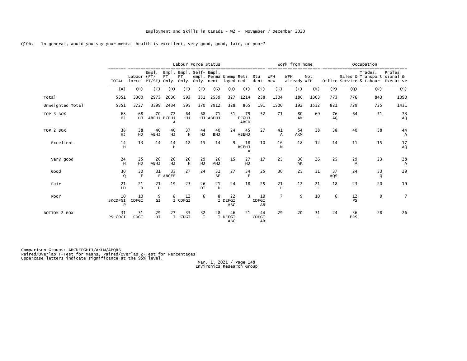|                  |                    |                      |                    |                        |                         | Labour Force Status                            |                        |                             |                                   |                   |                   | Work from home            |      |           |                  | Occupation                                                       |                                |
|------------------|--------------------|----------------------|--------------------|------------------------|-------------------------|------------------------------------------------|------------------------|-----------------------------|-----------------------------------|-------------------|-------------------|---------------------------|------|-----------|------------------|------------------------------------------------------------------|--------------------------------|
|                  | TOTAL              | Labour (FT/<br>force | Emp<br>PT/SE) Only | FT                     | PT <sup>1</sup><br>only | Empl. Empl. Self- Empl.<br>Only nent loyed red | empl. Perma Unemp Reti |                             |                                   | Stu<br>dent       | <b>WFH</b><br>new | <b>WFH</b><br>already WFH | Not  |           |                  | Trades,<br>Sales & Transport sional &<br>Office Service & Labour | Profes<br>Executive            |
|                  | (A)                | (B)                  | (C)                | (D)                    | (E)                     | (F)                                            | (G)                    | (H)                         | (I)                               | $(1)$             | (K)               | (L)                       | (M)  | (P)       | (Q)              | (R)                                                              | (S)                            |
| Total            | 5351               | 3300                 | 2973               | 2030                   | 593                     | 351                                            | 2539                   | 327                         | 1214                              | 238               | 1304              | 186                       | 1303 | 773       | 776              | 843                                                              | 1090                           |
| Unweighted Total | 5351               | 3727                 | 3399               | 2434                   | 595                     | 370                                            | 2912                   | 328                         | 865                               | 191               | 1500              | 192                       | 1532 | 821       | 729              | 725                                                              | 1431                           |
| TOP 3 BOX        | 68<br>HJ           | 68<br>HJ.            | 70                 | 72<br>ABEHJ BCEHJ<br>A | 64<br>HJ                | 68                                             | 71<br>HJ ABEHJ         | 51                          | 79<br><b>EFGHJ</b><br><b>ABCD</b> | 52                | 71                | 80<br>AM                  | 69   | 76<br>AQ  | 64               | 71                                                               | 73<br>AQ                       |
| TOP 2 BOX        | 38<br>HJ           | 38<br>HJ             | 40<br><b>ABHJ</b>  | 40<br>HJ               | 37<br>H                 | 44<br>HJ.                                      | 40<br><b>BHJ</b>       | 24                          | 45<br>ABEHJ                       | 27                | 41<br>A           | 54<br><b>AKM</b>          | 38   | 38        | 40               | 38                                                               | 44<br>А                        |
| Excellent        | 14<br>H            | 13                   | 14                 | 14                     | 12                      | 15                                             | 14                     | 9                           | 18<br><b>BCEHJ</b>                | 10                | 16                | 18                        | 12   | 14        | 11               | 15                                                               | $^{17}_{\rm{AQ}}$              |
| Very good        | 24<br>H            | 25<br>HJ             | 26<br><b>ABHJ</b>  | 26<br>нj               | $^{26}$ H               | 29<br>HJ                                       | 26<br>AHJ              | 15                          | 27<br><b>HJ</b>                   | 17                | 25                | 36<br>AK                  | 26   | 25        | 29<br>A          | 23                                                               | $^{28}_{\hbox{\scriptsize A}}$ |
| Good             | 30<br>$\circ$      | 30<br>E              | 31                 | 33<br>F ABCEF          | 27                      | 24                                             | 31<br><b>BF</b>        | 27                          | 34<br>F                           | 25                | 30                | 25                        | 31   | 37<br>AQS | 24               | 33<br>Q                                                          | 29                             |
| Fair             | 21<br>LD           | 21<br>D              | 21<br>D            | 19                     | 23                      | 26<br>DI                                       | 21<br>D                | 24                          | 18                                | 25                | 21                | 12                        | 21   | 18        | 23               | 20                                                               | 19                             |
| Poor             | 10<br>SKCDFGI<br>P | 10<br>CDFGI          | 9<br>GI            | 8                      | 12<br>I CDFGI           | 6                                              | 8                      | 22<br>I DEFGI<br><b>ABC</b> | ٦                                 | 19<br>CDFGI<br>AB | $\overline{7}$    | 9                         | 10   | 6         | 12<br><b>PS</b>  | 9                                                                | $\overline{7}$                 |
| BOTTOM 2 BOX     | 31<br>PSLCDGI      | 31<br>CDGI           | 29<br>DI           | 27<br>$\mathbf{I}$     | 35<br>CDGI              | 32<br>$\mathbf{I}$                             | 28                     | 46<br>I DEFGI<br><b>ABC</b> | 21                                | 44<br>CDFGI<br>AB | 29                | 20                        | 31   | 24        | 36<br><b>PRS</b> | 28                                                               | 26                             |

Comparison Groups: ABCDEFGHIJ/AKLM/APQRS<br>Paired/Overlap T-Test for Means, Paired/Overlap Z-Test for Percentages<br>Uppercase letters indicate significance at the 95% level.

Mar. 1, 2021 / Page 148 Environics Research Group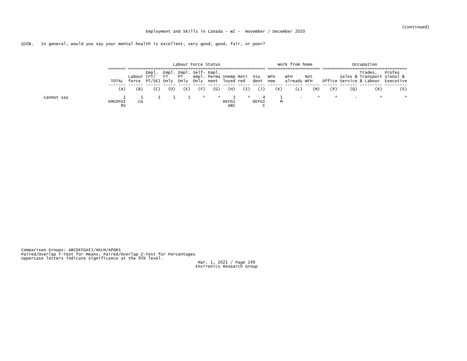|            |                      |     |     |     |     |     | Labour Force Status |                     |     |                   |     | Work from home |     |                                        |     | Occupation    |                                                                                                                                                                                                                                      |
|------------|----------------------|-----|-----|-----|-----|-----|---------------------|---------------------|-----|-------------------|-----|----------------|-----|----------------------------------------|-----|---------------|--------------------------------------------------------------------------------------------------------------------------------------------------------------------------------------------------------------------------------------|
|            | TOTAL                |     |     |     |     |     |                     |                     |     |                   |     |                |     |                                        |     |               | Empl. Empl. Self- Empl. Self- Forme Unempletial Studen WFH WATH Mot Sales & Trades, Profes<br>Labour (FT/ FT PT empl. Perma Unempletial Studen WFH Not Sales & Transport sional &<br>force PT/SE) Only Only Only nent loyed red dent |
|            | (A)                  | (B) | (C) | (D) | (E) | (F) | (G)                 | (H)                 | (I) | $(\mathsf{J})$    | (K) | (L)            | (M) | (P)                                    | (Q) | (R)           | (S)                                                                                                                                                                                                                                  |
| Cannot say | KMCDFGI<br><b>RS</b> | CG  |     |     |     |     | $\star$ $\star$ 3   | DEFGI<br><b>ABC</b> |     | $\sim$ 4<br>DEFGI | M   |                |     | アンディア こうしゃ かんしょう かんしょう かんしょう かんしゃ かんしゃ |     | $\mathcal{R}$ |                                                                                                                                                                                                                                      |

Comparison Groups: ABCDEFGHIJ/AKLM/APQRS<br>Paired/Overlap T-Test for Means, Paired/Overlap Z-Test for Percentages<br>Uppercase letters indicate significance at the 95% level.

Mar. 1, 2021 / Page 149 Environics Research Group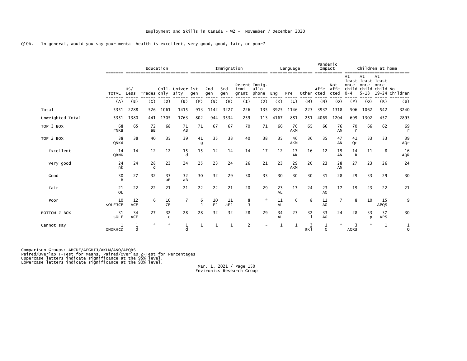|                  |                    | Education |             |          |                          |                   |            |            | Immigration                    | -------------- |                 | Language  | __________ | Pandemic<br>Impact |                     | Children at home      |                                                                     |                   |                    |  |  |
|------------------|--------------------|-----------|-------------|----------|--------------------------|-------------------|------------|------------|--------------------------------|----------------|-----------------|-----------|------------|--------------------|---------------------|-----------------------|---------------------------------------------------------------------|-------------------|--------------------|--|--|
|                  | TOTAL Less         | HS/       | Trades only |          | Coll. Univer 1st<br>sity | gen               | 2nd<br>gen | 3rd<br>gen | Recent Immig.<br>immi<br>grant | allo<br>phone  | Eng             | Fre       | Other cted | Affe               | Not<br>affe<br>cted | At<br>once<br>$0 - 4$ | At<br>least least least<br>once<br>child child child No<br>$5 - 18$ | At<br>once        | 19-24 Children     |  |  |
|                  | (A)                | (B)       | (C)         | (D)      | (E)                      | (F)               | (G)        | (H)        | $\left(1\right)$               | $(\mathsf{J})$ | (K)             | (L)       | (M)        | (N)                | (0)                 | (P)                   | (Q)                                                                 | (R)               | (S)                |  |  |
| Total            | 5351               | 2288      | 526         | 1061     | 1415                     | 913               | 1142       | 3227       | 226                            | 135            | 3925            | 1146      | 223        | 3937               | 1318                | 506                   | 1062                                                                | 542               | 3240               |  |  |
| Unweighted Total | 5351               | 1380      | 441         | 1705     | 1763                     | 802               | 944        | 3534       | 259                            | 113            | 4167            | 881       | 251        | 4065               | 1204                | 699                   | 1302                                                                | 457               | 2893               |  |  |
| TOP 3 BOX        | 68<br><b>rNKB</b>  | 65        | 72<br>aB    | 68       | 71<br>AB                 | 71                | 67         | 67         | 70                             | 71             | 66              | 76<br>AKM | 65         | 66                 | 76<br>AN            | 70<br>$\mathsf{r}$    | 66                                                                  | 62                | 69<br>$\mathsf{r}$ |  |  |
| TOP 2 BOX        | 38<br>QNKd         | 38        | 40          | 35       | 39                       | 41<br>g           | 35         | 38         | 40                             | 38             | 35              | 46<br>AKM | 36         | 35                 | 47<br>AN            | 41<br>Qr              | 33                                                                  | 33                | 39<br>AQr          |  |  |
| Excellent        | 14<br>QRNK         | 14        | 12          | 12       | 15<br>d                  | 15                | 12         | 14         | 14                             | 17             | 12              | 17<br>AK  | 16         | 12                 | 19<br>AN            | 14<br>$\mathsf{R}$    | 11                                                                  | 8                 | 16<br><b>AQR</b>   |  |  |
| Very good        | 24<br>nk           | 24        | 28          | 23       | 24                       | 25                | 23         | 24         | 26                             | 21             | 23              | 29<br>AKM | 20         | 23                 | 28<br>AN            | 27                    | 23                                                                  | 26                | 24                 |  |  |
| Good             | 30<br><sub>R</sub> | 27        | 32          | 33<br>aB | 32<br>aB                 | 30                | 32         | 29         | 30                             | 33             | 30              | 30        | 30         | 31                 | 28                  | 29                    | 33                                                                  | 29                | 30                 |  |  |
| Fair             | 21<br><b>OL</b>    | 22        | 22          | 21       | 21                       | 22                | 22         | 21         | 20                             | 29             | 23<br><b>AL</b> | 17        | 24         | 23<br>AO           | 17                  | 19                    | 23                                                                  | 22                | 21                 |  |  |
| Poor             | 10<br>SOLFJCE      | 12<br>ACE | 6           | 10<br>CE | 7                        | 6<br>$\mathbf{J}$ | 10<br>FJ   | 11<br>aFJ  | 8<br>$\overline{J}$            | ☆              | 11<br>AL        | 6         | 8          | 11<br>AO           |                     | 8                     | 10                                                                  | 15<br><b>APQS</b> | 9                  |  |  |
| BOTTOM 2 BOX     | 31<br>SOLE         | 34<br>ACE | 27          | 32<br>e  | 28                       | 28                | 32         | 32         | 28                             | 29             | 34<br><b>AL</b> | 23        | 32         | 33<br>AO           | 24                  | 28                    | 33<br>p                                                             | 37<br><b>APS</b>  | 30                 |  |  |
| Cannot say       | QNOKHCD            | d         |             | 大        | d                        |                   |            |            | $\overline{2}$                 |                |                 | 1         | aĸ1        | O                  | ÷.                  | 3<br><b>AQRS</b>      | $\mathbf{x}$                                                        | 1                 | 1<br>Q             |  |  |

Comparison Groups: ABCDE/AFGHIJ/AKLM/ANO/APQRS<br>Paired/Overlap T-Test for Means, Paired/Overlap Z-Test for Percentages<br>Uppercase letters indicate significance at the 95% level.<br>Lowercase letters indicate significance at the

Mar. 1, 2021 / Page 150<br>Environics Research Group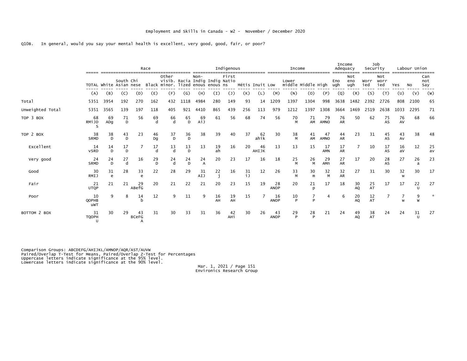|                  |                                |                        |         |                         | Race               |                                                                              |         |                  |          | Indigenous     |                 |                 |                   | Income                      |                    | Income<br>Adequacy |                 | Job<br>Security   |             | Labour Union       |          |           |                   |
|------------------|--------------------------------|------------------------|---------|-------------------------|--------------------|------------------------------------------------------------------------------|---------|------------------|----------|----------------|-----------------|-----------------|-------------------|-----------------------------|--------------------|--------------------|-----------------|-------------------|-------------|--------------------|----------|-----------|-------------------|
|                  |                                | TOTAL White Asian nese |         | South Chi               |                    | Other<br>visib. Racia Indig Indig Natio<br>Black minor. lized enous enous ns |         | $Non-$           |          | First          |                 | Métis Inuit Low |                   | Lower<br>middle Middle High |                    |                    | Eno<br>ugh      | Not<br>eno<br>ugh | Worr<br>ied | Not<br>worr<br>ied | Yes      | <b>NO</b> | Can<br>not<br>Say |
|                  | (A)                            | (B)                    | (C)     | (D)                     | (E)                | (F)                                                                          | (G)     | (H)              | (I)      | $(\mathsf{J})$ | (K)             | (L)             | (M)               | (N)                         | (0)                | (P)                | (Q)             | (R)               | (S)         | (T)                | (U)      | (V)       | (W)               |
| Total            | 5351                           | 3954                   | 192     | 270                     | 162                | 432                                                                          | 1118    | 4984             | 280      | 149            | 93              | 14              | 1209              | 1397                        | 1304               | 998                | 3638            | 1482              | 2392        | 2726               | 808      | 2100      | 65                |
| Unweighted Total | 5351                           | 3565                   | 139     | 197                     | 118                | 405                                                                          | 921     | 4410             | 865      | 439            | 256             | 113             | 979               | 1212                        | 1397               | 1308               | 3664            | 1469              | 2519        | 2638               | 1033     | 2295      | 71                |
| TOP 3 BOX        | 68<br>RM <sub>1</sub> JD       | 69<br>ADq              | 71<br>D | 56                      | 69<br>d            | 66<br>d                                                                      | 65<br>D | 69<br>AiJ        | 61       | 56             | 68              | 74              | 56                | 70<br>M                     | 71<br>AM           | 79<br>AMNO         | 76<br><b>AR</b> | 50                | 62          | 75<br>AS           | 76<br>AV | 68        | 66                |
| TOP 2 BOX        | 38<br><b>SRMD</b>              | 38<br>D                | 43<br>D | 23                      | 46<br>Dq           | 37<br>D                                                                      | 36<br>D | 38               | 39       | 40             | 37              | 62<br>ahik      | 30                | 38<br>M                     | 41<br>AM           | 47<br><b>AMNO</b>  | 44<br><b>AR</b> | 23                | 31          | 45<br>AS           | 43<br>AV | 38        | 48                |
| Excellent        | 14<br><b>VSRD</b>              | 14<br>D.               | 17<br>D |                         | 17<br>$\mathsf{d}$ | 13<br>$\mathsf{d}$                                                           | 13<br>D | 13               | 19<br>ah | 16             | 20              | 46<br>AHIJK     | 13                | 13                          | 15                 | 17<br><b>AMN</b>   | 17<br><b>AR</b> |                   | 10          | 17<br>AS           | 16<br>av | 12        | 25<br>av          |
| Very good        | 24<br>SRMD                     | 24<br>D.               | 27<br>h | 16                      | 29<br>D            | 24<br>d                                                                      | 24<br>D | 24<br>$\Delta$   | 20       | 23             | 17              | 16              | 18                | 25<br>M                     | 26<br>M            | 29<br>AMn          | 27<br><b>AR</b> | 17                | 20          | 28<br>AS           | 27       | 26<br>a   | 23                |
| Good             | 30<br><b>RMIJ</b>              | 31<br>e                | 28      | 33<br>$\epsilon$        | 22                 | 28                                                                           | 29      | 31<br><b>AIJ</b> | 22<br>i  | 16             | $\frac{31}{1J}$ | 12              | 26                | 33<br>M                     | 30<br>$\mathsf{m}$ | 32<br>M            | 32<br><b>AR</b> | 27                | 31          | 30                 | 32<br>W  | 30        | 17                |
| Fair             | 21<br><b>UTQP</b>              | 21                     | 21      | 29<br>ABefG             | 20                 | 21                                                                           | 22      | 21               | 20       | 23             | 15              | 19              | 28<br><b>ANOP</b> | 20                          | 21<br>D            | 17                 | 18              | 30<br><b>AQ</b>   | 25<br>AT    | 17                 | 17       | 22        | 27                |
| Poor             | 10<br>QOPHB<br>uwT             | 9                      | 8       | 14                      | 12                 | 9                                                                            | 11      | 9                | 16<br>AH | 19<br>AH       | 15              |                 | 16<br><b>ANOP</b> | 10<br>P                     | Þ                  | 4                  | 6               | 20<br>AQ          | 12<br>AT    |                    | W        | 9<br>W    |                   |
| BOTTOM 2 BOX     | 31<br><b>TQOPH</b><br><b>U</b> | 30                     | 29      | 43<br><b>BCeFG</b><br>A | 31                 | 30                                                                           | 33      | 31               | 36       | 42<br>AHi      | 30              | 26              | 43<br><b>ANOP</b> | 29<br>P                     | 28<br>P            | 21                 | 24              | 49<br>AQ          | 38<br>AT    | 24                 | 24       | 31        | 27                |

Comparison Groups: ABCDEFG/AHIJKL/AMNOP/AQR/AST/AUVW<br>Paired/Overlap T-Test for Means, Paired/Overlap Z-Test for Percentages<br>Uppercase letters indicate significance at the 95% level.<br>Lowercase letters indicate significance

Mar. 1, 2021 / Page 151<br>Environics Research Group